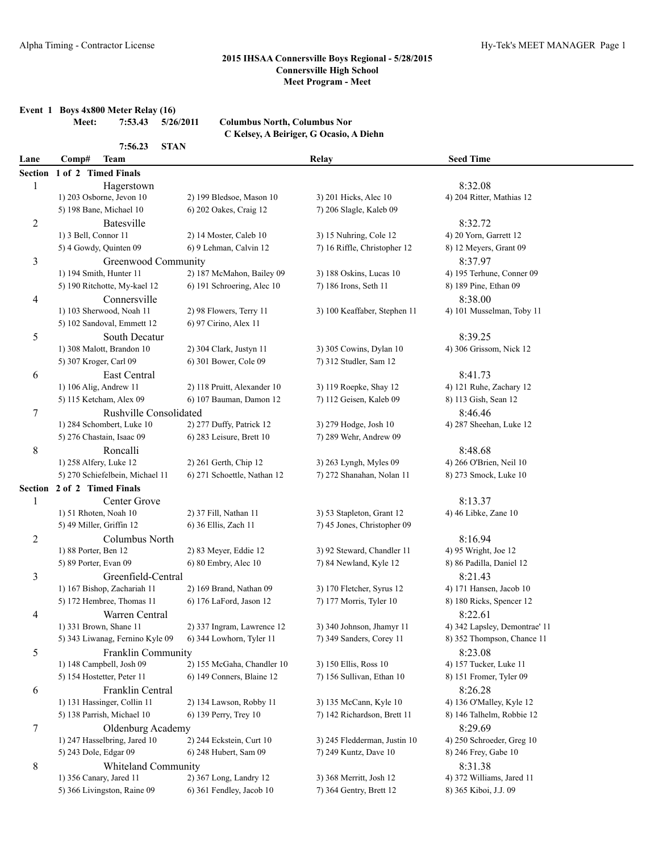**Event 1 Boys 4x800 Meter Relay (16)**

**Meet: 7:53.43 5/26/2011 Columbus North, Columbus Nor C Kelsey, A Beiriger, G Ocasio, A Diehn**

|                | 7:56.23<br><b>STAN</b>          |                             |                              |                               |  |
|----------------|---------------------------------|-----------------------------|------------------------------|-------------------------------|--|
| Lane           | Comp#<br><b>Team</b>            |                             | Relay                        | <b>Seed Time</b>              |  |
|                | Section 1 of 2 Timed Finals     |                             |                              |                               |  |
| 1              | Hagerstown                      |                             |                              | 8:32.08                       |  |
|                | 1) 203 Osborne, Jevon 10        | 2) 199 Bledsoe, Mason 10    | 3) 201 Hicks, Alec 10        | 4) 204 Ritter, Mathias 12     |  |
|                | 5) 198 Bane, Michael 10         | 6) 202 Oakes, Craig 12      | 7) 206 Slagle, Kaleb 09      |                               |  |
| $\overline{c}$ | <b>Batesville</b>               |                             |                              | 8:32.72                       |  |
|                | 1) 3 Bell, Connor 11            | 2) 14 Moster, Caleb 10      | 3) 15 Nuhring, Cole 12       | 4) 20 Yorn, Garrett 12        |  |
|                | 5) 4 Gowdy, Quinten 09          | 6) 9 Lehman, Calvin 12      | 7) 16 Riffle, Christopher 12 | 8) 12 Meyers, Grant 09        |  |
| 3              | Greenwood Community             |                             |                              | 8:37.97                       |  |
|                | 1) 194 Smith, Hunter 11         | 2) 187 McMahon, Bailey 09   | 3) 188 Oskins, Lucas 10      | 4) 195 Terhune, Conner 09     |  |
|                | 5) 190 Ritchotte, My-kael 12    | 6) 191 Schroering, Alec 10  | 7) 186 Irons, Seth 11        | 8) 189 Pine, Ethan 09         |  |
| 4              | Connersville                    |                             |                              | 8:38.00                       |  |
|                | 1) 103 Sherwood, Noah 11        | 2) 98 Flowers, Terry 11     | 3) 100 Keaffaber, Stephen 11 | 4) 101 Musselman, Toby 11     |  |
|                | 5) 102 Sandoval, Emmett 12      | 6) 97 Cirino, Alex 11       |                              |                               |  |
| 5              | South Decatur                   |                             |                              | 8:39.25                       |  |
|                | 1) 308 Malott, Brandon 10       | 2) 304 Clark, Justyn 11     | 3) 305 Cowins, Dylan 10      | 4) 306 Grissom, Nick 12       |  |
|                | 5) 307 Kroger, Carl 09          | 6) 301 Bower, Cole 09       | 7) 312 Studler, Sam 12       |                               |  |
| 6              | East Central                    |                             |                              | 8:41.73                       |  |
|                | 1) 106 Alig, Andrew 11          | 2) 118 Pruitt, Alexander 10 | 3) 119 Roepke, Shay 12       | 4) 121 Ruhe, Zachary 12       |  |
|                | 5) 115 Ketcham, Alex 09         | 6) 107 Bauman, Damon 12     | 7) 112 Geisen, Kaleb 09      | 8) 113 Gish, Sean 12          |  |
| 7              | Rushville Consolidated          |                             |                              | 8:46.46                       |  |
|                | 1) 284 Schombert, Luke 10       | 2) 277 Duffy, Patrick 12    | 3) 279 Hodge, Josh 10        | 4) 287 Sheehan, Luke 12       |  |
|                | 5) 276 Chastain, Isaac 09       | 6) 283 Leisure, Brett 10    | 7) 289 Wehr, Andrew 09       |                               |  |
| 8              | Roncalli                        |                             |                              | 8:48.68                       |  |
|                | 1) 258 Alfery, Luke 12          | 2) 261 Gerth, Chip 12       | 3) 263 Lyngh, Myles 09       | 4) 266 O'Brien, Neil 10       |  |
|                | 5) 270 Schiefelbein, Michael 11 | 6) 271 Schoettle, Nathan 12 | 7) 272 Shanahan, Nolan 11    | 8) 273 Smock, Luke 10         |  |
|                | Section 2 of 2 Timed Finals     |                             |                              |                               |  |
| 1              | Center Grove                    |                             |                              | 8:13.37                       |  |
|                | 1) 51 Rhoten, Noah 10           | 2) 37 Fill, Nathan 11       | 3) 53 Stapleton, Grant 12    | 4) 46 Libke, Zane 10          |  |
|                | 5) 49 Miller, Griffin 12        | 6) 36 Ellis, Zach 11        | 7) 45 Jones, Christopher 09  |                               |  |
| $\overline{c}$ | Columbus North                  |                             |                              | 8:16.94                       |  |
|                | 1) 88 Porter, Ben 12            | 2) 83 Meyer, Eddie 12       | 3) 92 Steward, Chandler 11   | 4) 95 Wright, Joe 12          |  |
|                | 5) 89 Porter, Evan 09           | 6) 80 Embry, Alec 10        | 7) 84 Newland, Kyle 12       | 8) 86 Padilla, Daniel 12      |  |
| 3              | Greenfield-Central              |                             |                              | 8:21.43                       |  |
|                | 1) 167 Bishop, Zachariah 11     | 2) 169 Brand, Nathan 09     | 3) 170 Fletcher, Syrus 12    | 4) 171 Hansen, Jacob 10       |  |
|                | 5) 172 Hembree, Thomas 11       | 6) 176 LaFord, Jason 12     | 7) 177 Morris, Tyler 10      | 8) 180 Ricks, Spencer 12      |  |
| 4              | Warren Central                  |                             |                              | 8:22.61                       |  |
|                | 1) 331 Brown, Shane 11          | 2) 337 Ingram, Lawrence 12  | 3) 340 Johnson, Jhamyr 11    | 4) 342 Lapsley, Demontrae' 11 |  |
|                | 5) 343 Liwanag, Fernino Kyle 09 | 6) 344 Lowhorn, Tyler 11    | 7) 349 Sanders, Corey 11     | 8) 352 Thompson, Chance 11    |  |
| 5              | Franklin Community              |                             |                              | 8:23.08                       |  |
|                | 1) 148 Campbell, Josh 09        | 2) 155 McGaha, Chandler 10  | 3) 150 Ellis, Ross 10        | 4) 157 Tucker, Luke 11        |  |
|                | 5) 154 Hostetter, Peter 11      | 6) 149 Conners, Blaine 12   | 7) 156 Sullivan, Ethan 10    | 8) 151 Fromer, Tyler 09       |  |
| 6              | Franklin Central                |                             |                              | 8:26.28                       |  |
|                | 1) 131 Hassinger, Collin 11     | 2) 134 Lawson, Robby 11     | 3) 135 McCann, Kyle 10       | 4) 136 O'Malley, Kyle 12      |  |
|                | 5) 138 Parrish, Michael 10      | 6) 139 Perry, Trey 10       | 7) 142 Richardson, Brett 11  | 8) 146 Talhelm, Robbie 12     |  |
| 7              | Oldenburg Academy               |                             |                              | 8:29.69                       |  |
|                | 1) 247 Hasselbring, Jared 10    | 2) 244 Eckstein, Curt 10    | 3) 245 Fledderman, Justin 10 | 4) 250 Schroeder, Greg 10     |  |
|                | 5) 243 Dole, Edgar 09           | 6) 248 Hubert, Sam 09       | 7) 249 Kuntz, Dave 10        | 8) 246 Frey, Gabe 10          |  |
| 8              | Whiteland Community             |                             |                              | 8:31.38                       |  |
|                | 1) 356 Canary, Jared 11         | 2) 367 Long, Landry 12      | 3) 368 Merritt, Josh 12      | 4) 372 Williams, Jared 11     |  |
|                | 5) 366 Livingston, Raine 09     | 6) 361 Fendley, Jacob 10    | 7) 364 Gentry, Brett 12      | 8) 365 Kiboi, J.J. 09         |  |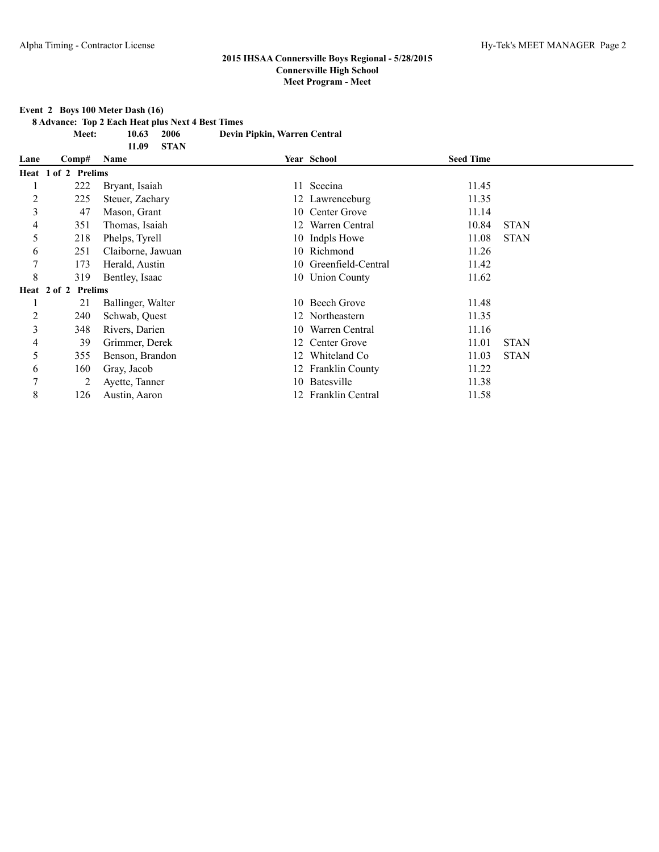#### **Event 2 Boys 100 Meter Dash (16)**

**8 Advance: Top 2 Each Heat plus Next 4 Best Times**

**11.09 STAN**

**Meet: 10.63 2006 Devin Pipkin, Warren Central**

| Lane | Comp#               | Name              |    | Year School           | <b>Seed Time</b> |             |
|------|---------------------|-------------------|----|-----------------------|------------------|-------------|
|      | Heat 1 of 2 Prelims |                   |    |                       |                  |             |
|      | 222                 | Bryant, Isaiah    |    | 11 Scecina            | 11.45            |             |
| 2    | 225                 | Steuer, Zachary   |    | 12 Lawrenceburg       | 11.35            |             |
| 3    | 47                  | Mason, Grant      |    | 10 Center Grove       | 11.14            |             |
| 4    | 351                 | Thomas, Isaiah    | 12 | Warren Central        | 10.84            | <b>STAN</b> |
| 5    | 218                 | Phelps, Tyrell    |    | 10 Indpls Howe        | 11.08            | <b>STAN</b> |
| 6    | 251                 | Claiborne, Jawuan |    | 10 Richmond           | 11.26            |             |
|      | 173                 | Herald, Austin    |    | 10 Greenfield-Central | 11.42            |             |
| 8    | 319                 | Bentley, Isaac    |    | 10 Union County       | 11.62            |             |
|      | Heat 2 of 2 Prelims |                   |    |                       |                  |             |
|      | 21                  | Ballinger, Walter |    | 10 Beech Grove        | 11.48            |             |
| 2    | 240                 | Schwab, Quest     |    | 12 Northeastern       | 11.35            |             |
| 3    | 348                 | Rivers, Darien    |    | 10 Warren Central     | 11.16            |             |
| 4    | 39                  | Grimmer, Derek    |    | 12 Center Grove       | 11.01            | <b>STAN</b> |
| 5    | 355                 | Benson, Brandon   | 12 | Whiteland Co.         | 11.03            | <b>STAN</b> |
| 6    | 160                 | Gray, Jacob       |    | 12 Franklin County    | 11.22            |             |
| 7    | 2                   | Ayette, Tanner    |    | 10 Batesville         | 11.38            |             |
| 8    | 126                 | Austin, Aaron     |    | 12 Franklin Central   | 11.58            |             |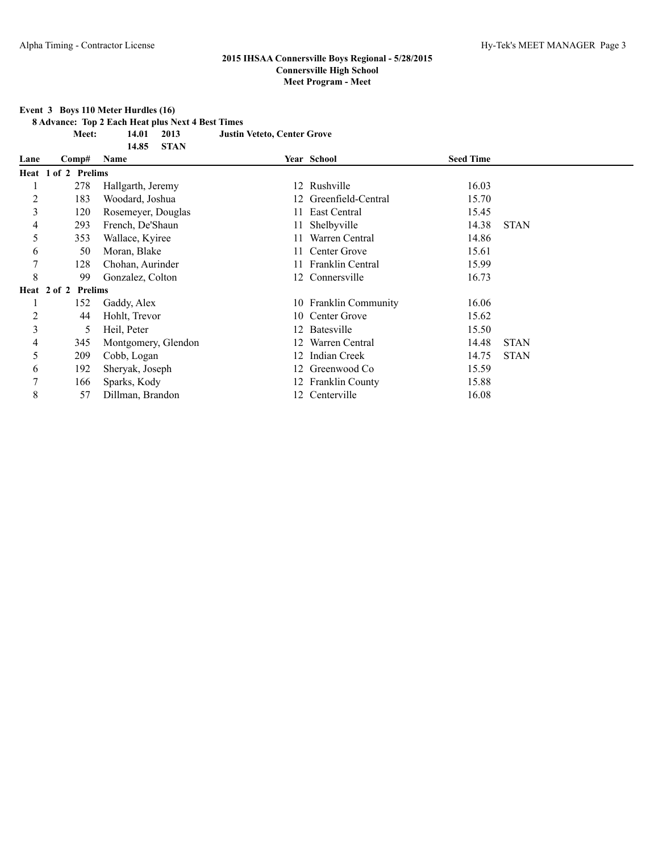**Event 3 Boys 110 Meter Hurdles (16)**

**8 Advance: Top 2 Each Heat plus Next 4 Best Times**

**Meet: 14.01 2013 Justin Veteto, Center Grove**

|      |                     | <b>STAN</b><br>14.85 |    |                           |                  |             |
|------|---------------------|----------------------|----|---------------------------|------------------|-------------|
| Lane | Comp#               | Name                 |    | Year School               | <b>Seed Time</b> |             |
|      | Heat 1 of 2 Prelims |                      |    |                           |                  |             |
|      | 278                 | Hallgarth, Jeremy    |    | 12 Rushville              | 16.03            |             |
| 2    | 183                 | Woodard, Joshua      |    | Greenfield-Central        | 15.70            |             |
| 3    | 120                 | Rosemeyer, Douglas   |    | East Central              | 15.45            |             |
| 4    | 293                 | French, De'Shaun     | 11 | Shelbyville               | 14.38            | <b>STAN</b> |
| 5    | 353                 | Wallace, Kyiree      |    | Warren Central            | 14.86            |             |
| 6    | 50                  | Moran, Blake         |    | 11 Center Grove           | 15.61            |             |
| 7    | 128                 | Chohan, Aurinder     |    | <b>Franklin Central</b>   | 15.99            |             |
| 8    | 99                  | Gonzalez, Colton     |    | 12 Connersville           | 16.73            |             |
|      | Heat 2 of 2 Prelims |                      |    |                           |                  |             |
|      | 152                 | Gaddy, Alex          | 10 | <b>Franklin Community</b> | 16.06            |             |
| 2    | 44                  | Hohlt, Trevor        |    | 10 Center Grove           | 15.62            |             |
| 3    | 5                   | Heil, Peter          |    | 12 Batesville             | 15.50            |             |
| 4    | 345                 | Montgomery, Glendon  | 12 | Warren Central            | 14.48            | <b>STAN</b> |
| 5    | 209                 | Cobb, Logan          | 12 | <b>Indian Creek</b>       | 14.75            | <b>STAN</b> |
| 6    | 192                 | Sheryak, Joseph      |    | 12 Greenwood Co           | 15.59            |             |
| 7    | 166                 | Sparks, Kody         |    | 12 Franklin County        | 15.88            |             |
| 8    | 57                  | Dillman, Brandon     |    | 12 Centerville            | 16.08            |             |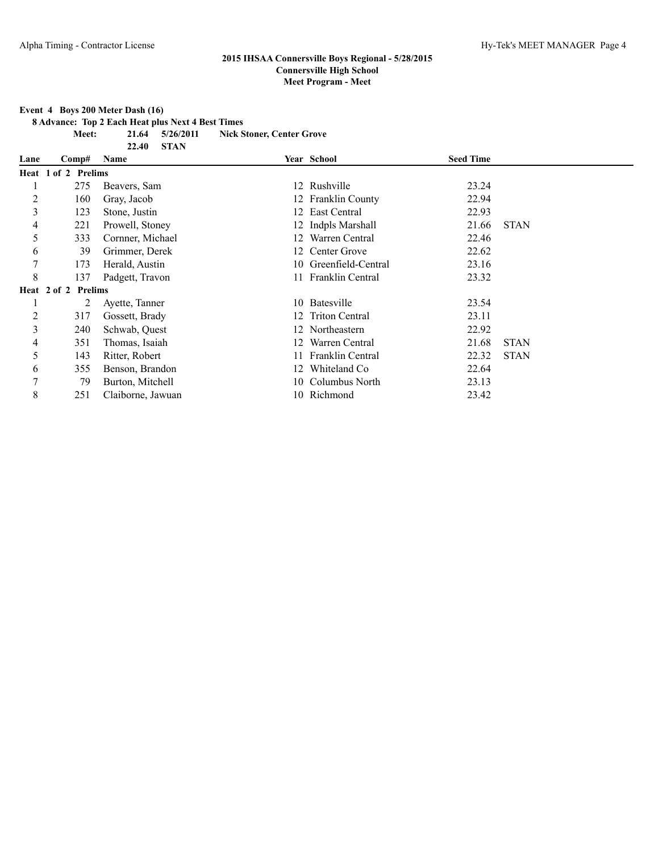**Event 4 Boys 200 Meter Dash (16)**

**8 Advance: Top 2 Each Heat plus Next 4 Best Times**

**22.40 STAN**

**Meet: 21.64 5/26/2011 Nick Stoner, Center Grove**

| Lane | Comp#               | Name              |    | Year School           | <b>Seed Time</b> |             |
|------|---------------------|-------------------|----|-----------------------|------------------|-------------|
|      | Heat 1 of 2 Prelims |                   |    |                       |                  |             |
|      | 275                 | Beavers, Sam      |    | 12 Rushville          | 23.24            |             |
| 2    | 160                 | Gray, Jacob       |    | 12 Franklin County    | 22.94            |             |
| 3    | 123                 | Stone, Justin     |    | 12 East Central       | 22.93            |             |
| 4    | 221                 | Prowell, Stoney   |    | 12 Indpls Marshall    | 21.66            | <b>STAN</b> |
| 5    | 333                 | Cornner, Michael  |    | 12 Warren Central     | 22.46            |             |
| 6    | 39                  | Grimmer, Derek    |    | 12 Center Grove       | 22.62            |             |
| 7    | 173                 | Herald, Austin    |    | 10 Greenfield-Central | 23.16            |             |
| 8    | 137                 | Padgett, Travon   |    | 11 Franklin Central   | 23.32            |             |
|      | Heat 2 of 2 Prelims |                   |    |                       |                  |             |
|      | 2                   | Ayette, Tanner    |    | 10 Batesville         | 23.54            |             |
| 2    | 317                 | Gossett, Brady    |    | 12 Triton Central     | 23.11            |             |
| 3    | 240                 | Schwab, Quest     |    | 12 Northeastern       | 22.92            |             |
| 4    | 351                 | Thomas, Isaiah    |    | 12 Warren Central     | 21.68            | <b>STAN</b> |
| 5    | 143                 | Ritter, Robert    |    | 11 Franklin Central   | 22.32            | <b>STAN</b> |
| 6    | 355                 | Benson, Brandon   | 12 | Whiteland Co          | 22.64            |             |
| 7    | 79                  | Burton, Mitchell  |    | 10 Columbus North     | 23.13            |             |
| 8    | 251                 | Claiborne, Jawuan |    | 10 Richmond           | 23.42            |             |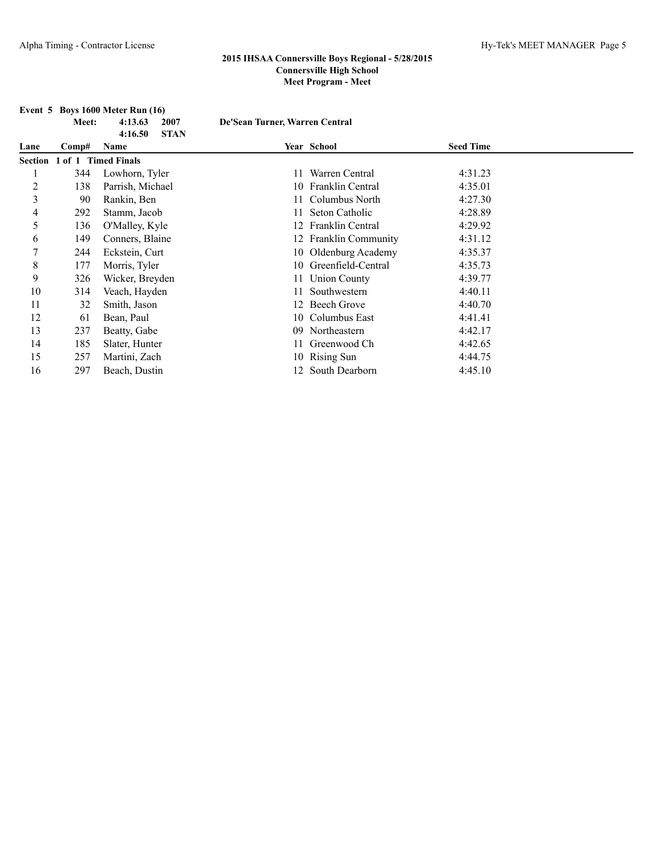|      | Meet: | Event $5$ Boys 1600 Meter Run $(16)$<br>4:13.63<br>2007<br><b>STAN</b><br>4:16.50 | De'Sean Turner, Warren Central |                       |                  |  |
|------|-------|-----------------------------------------------------------------------------------|--------------------------------|-----------------------|------------------|--|
| Lane | Comp# | Name                                                                              |                                | Year School           | <b>Seed Time</b> |  |
|      |       | Section 1 of 1 Timed Finals                                                       |                                |                       |                  |  |
|      | 344   | Lowhorn, Tyler                                                                    |                                | 11 Warren Central     | 4:31.23          |  |
| 2    | 138   | Parrish, Michael                                                                  |                                | 10 Franklin Central   | 4:35.01          |  |
| 3    | 90    | Rankin, Ben                                                                       |                                | Columbus North        | 4:27.30          |  |
| 4    | 292   | Stamm, Jacob                                                                      |                                | Seton Catholic        | 4:28.89          |  |
| 5    | 136   | O'Malley, Kyle                                                                    |                                | 12 Franklin Central   | 4:29.92          |  |
| 6    | 149   | Conners, Blaine                                                                   |                                | 12 Franklin Community | 4:31.12          |  |
| 7    | 244   | Eckstein, Curt                                                                    |                                | 10 Oldenburg Academy  | 4:35.37          |  |
| 8    | 177   | Morris, Tyler                                                                     | 10                             | Greenfield-Central    | 4:35.73          |  |
| 9    | 326   | Wicker, Breyden                                                                   |                                | 11 Union County       | 4:39.77          |  |
| 10   | 314   | Veach, Hayden                                                                     |                                | Southwestern          | 4:40.11          |  |
| 11   | 32    | Smith, Jason                                                                      |                                | 12 Beech Grove        | 4:40.70          |  |
| 12   | 61    | Bean, Paul                                                                        | 10                             | Columbus East         | 4:41.41          |  |
| 13   | 237   | Beatty, Gabe                                                                      | 09                             | Northeastern          | 4:42.17          |  |
| 14   | 185   | Slater, Hunter                                                                    |                                | Greenwood Ch          | 4:42.65          |  |
| 15   | 257   | Martini, Zach                                                                     |                                | 10 Rising Sun         | 4:44.75          |  |
| 16   | 297   | Beach, Dustin                                                                     |                                | 12 South Dearborn     | 4:45.10          |  |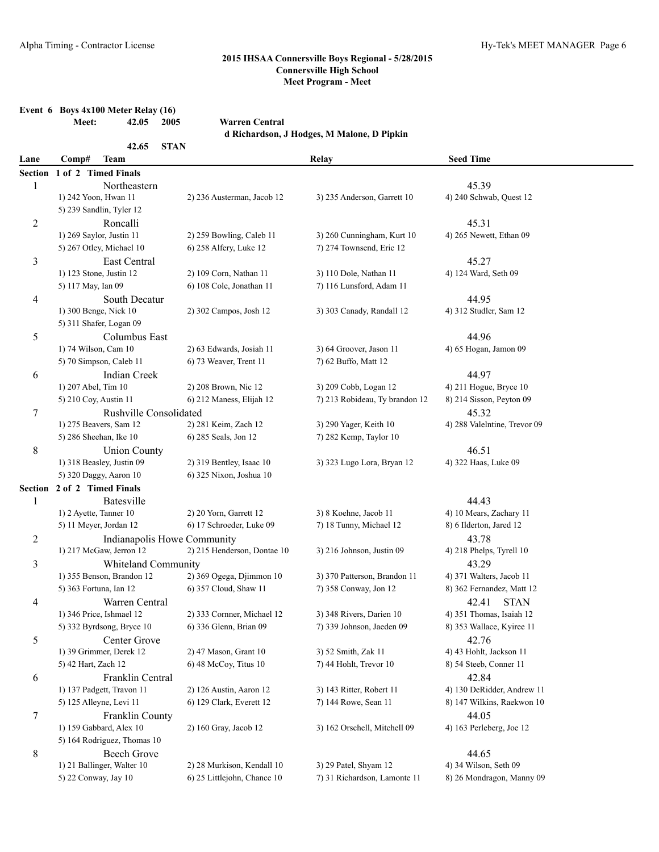**Event 6 Boys 4x100 Meter Relay (16)**

|                | 42.05<br>2005<br>Meet:                | <b>Warren Central</b>       |                                            |                              |
|----------------|---------------------------------------|-----------------------------|--------------------------------------------|------------------------------|
|                |                                       |                             | d Richardson, J Hodges, M Malone, D Pipkin |                              |
| Lane           | 42.65<br><b>STAN</b><br>Comp#<br>Team |                             | Relay                                      | <b>Seed Time</b>             |
|                | Section 1 of 2 Timed Finals           |                             |                                            |                              |
| $\mathbf{1}$   | Northeastern                          |                             |                                            | 45.39                        |
|                | 1) 242 Yoon, Hwan 11                  | 2) 236 Austerman, Jacob 12  | 3) 235 Anderson, Garrett 10                | 4) 240 Schwab, Quest 12      |
|                | 5) 239 Sandlin, Tyler 12              |                             |                                            |                              |
| $\overline{c}$ | Roncalli                              |                             |                                            | 45.31                        |
|                | 1) 269 Saylor, Justin 11              | 2) 259 Bowling, Caleb 11    | 3) 260 Cunningham, Kurt 10                 | 4) 265 Newett, Ethan 09      |
|                | 5) 267 Otley, Michael 10              | 6) 258 Alfery, Luke 12      | 7) 274 Townsend, Eric 12                   |                              |
| 3              | East Central                          |                             |                                            | 45.27                        |
|                | 1) 123 Stone, Justin 12               | 2) 109 Corn, Nathan 11      | 3) 110 Dole, Nathan 11                     | 4) 124 Ward, Seth 09         |
|                | 5) 117 May, Ian 09                    | 6) 108 Cole, Jonathan 11    | 7) 116 Lunsford, Adam 11                   |                              |
| 4              | South Decatur                         |                             |                                            | 44.95                        |
|                | 1) 300 Benge, Nick 10                 | 2) 302 Campos, Josh 12      | 3) 303 Canady, Randall 12                  | 4) 312 Studler, Sam 12       |
|                | 5) 311 Shafer, Logan 09               |                             |                                            |                              |
| 5              | Columbus East                         |                             |                                            | 44.96                        |
|                | 1) 74 Wilson, Cam 10                  | 2) 63 Edwards, Josiah 11    | 3) 64 Groover, Jason 11                    | 4) 65 Hogan, Jamon 09        |
|                | 5) 70 Simpson, Caleb 11               | 6) 73 Weaver, Trent 11      | 7) 62 Buffo, Matt 12                       |                              |
| 6              | <b>Indian Creek</b>                   |                             |                                            | 44.97                        |
|                | 1) 207 Abel, Tim 10                   | 2) 208 Brown, Nic 12        | 3) 209 Cobb, Logan 12                      | 4) 211 Hogue, Bryce 10       |
|                | 5) 210 Coy, Austin 11                 | 6) 212 Maness, Elijah 12    | 7) 213 Robideau, Ty brandon 12             | 8) 214 Sisson, Peyton 09     |
| 7              | Rushville Consolidated                |                             |                                            | 45.32                        |
|                | 1) 275 Beavers, Sam 12                | 2) 281 Keim, Zach 12        | 3) 290 Yager, Keith 10                     | 4) 288 Valelntine, Trevor 09 |
|                | 5) 286 Sheehan, Ike 10                | 6) 285 Seals, Jon 12        | 7) 282 Kemp, Taylor 10                     |                              |
| 8              | <b>Union County</b>                   |                             |                                            | 46.51                        |
|                | 1) 318 Beasley, Justin 09             | 2) 319 Bentley, Isaac 10    | 3) 323 Lugo Lora, Bryan 12                 | 4) 322 Haas, Luke 09         |
|                | 5) 320 Daggy, Aaron 10                | 6) 325 Nixon, Joshua 10     |                                            |                              |
|                | Section 2 of 2 Timed Finals           |                             |                                            |                              |
| $\mathbf{1}$   | <b>Batesville</b>                     |                             |                                            | 44.43                        |
|                | 1) 2 Ayette, Tanner 10                | 2) 20 Yorn, Garrett 12      | 3) 8 Koehne, Jacob 11                      | 4) 10 Mears, Zachary 11      |
|                | 5) 11 Meyer, Jordan 12                | 6) 17 Schroeder, Luke 09    | 7) 18 Tunny, Michael 12                    | 8) 6 Ilderton, Jared 12      |
| $\overline{c}$ | Indianapolis Howe Community           |                             |                                            | 43.78                        |
|                | 1) 217 McGaw, Jerron 12               | 2) 215 Henderson, Dontae 10 | 3) 216 Johnson, Justin 09                  | 4) 218 Phelps, Tyrell 10     |
| 3              | Whiteland Community                   |                             |                                            | 43.29                        |
|                | 1) 355 Benson, Brandon 12             | 2) 369 Ogega, Djimmon 10    | 3) 370 Patterson, Brandon 11               | 4) 371 Walters, Jacob 11     |
|                | 5) 363 Fortuna, Ian 12                | 6) 357 Cloud, Shaw 11       | 7) 358 Conway, Jon 12                      | 8) 362 Fernandez, Matt 12    |
| 4              | Warren Central                        |                             |                                            | 42.41 STAN                   |
|                | 1) 346 Price, Ishmael 12              | 2) 333 Cornner, Michael 12  | 3) 348 Rivers, Darien 10                   | 4) 351 Thomas, Isaiah 12     |
|                | 5) 332 Byrdsong, Bryce 10             | 6) 336 Glenn, Brian 09      | 7) 339 Johnson, Jaeden 09                  | 8) 353 Wallace, Kyiree 11    |
| 5              | Center Grove                          |                             |                                            | 42.76                        |
|                | 1) 39 Grimmer, Derek 12               | 2) 47 Mason, Grant 10       | 3) 52 Smith, Zak 11                        | 4) 43 Hohlt, Jackson 11      |
|                | 5) 42 Hart, Zach 12                   | 6) 48 McCoy, Titus 10       | 7) 44 Hohlt, Trevor 10                     | 8) 54 Steeb, Conner 11       |
| 6              | Franklin Central                      |                             |                                            | 42.84                        |
|                | 1) 137 Padgett, Travon 11             | 2) 126 Austin, Aaron 12     | 3) 143 Ritter, Robert 11                   | 4) 130 DeRidder, Andrew 11   |
|                | 5) 125 Alleyne, Levi 11               | 6) 129 Clark, Everett 12    | 7) 144 Rowe, Sean 11                       | 8) 147 Wilkins, Raekwon 10   |
| $\tau$         | Franklin County                       |                             |                                            | 44.05                        |
|                | 1) 159 Gabbard, Alex 10               | 2) 160 Gray, Jacob 12       | 3) 162 Orschell, Mitchell 09               | 4) 163 Perleberg, Joe 12     |
|                | 5) 164 Rodriguez, Thomas 10           |                             |                                            |                              |
| 8              | <b>Beech Grove</b>                    |                             |                                            | 44.65                        |
|                | 1) 21 Ballinger, Walter 10            | 2) 28 Murkison, Kendall 10  | 3) 29 Patel, Shyam 12                      | 4) 34 Wilson, Seth 09        |
|                | 5) 22 Conway, Jay 10                  | 6) 25 Littlejohn, Chance 10 | 7) 31 Richardson, Lamonte 11               | 8) 26 Mondragon, Manny 09    |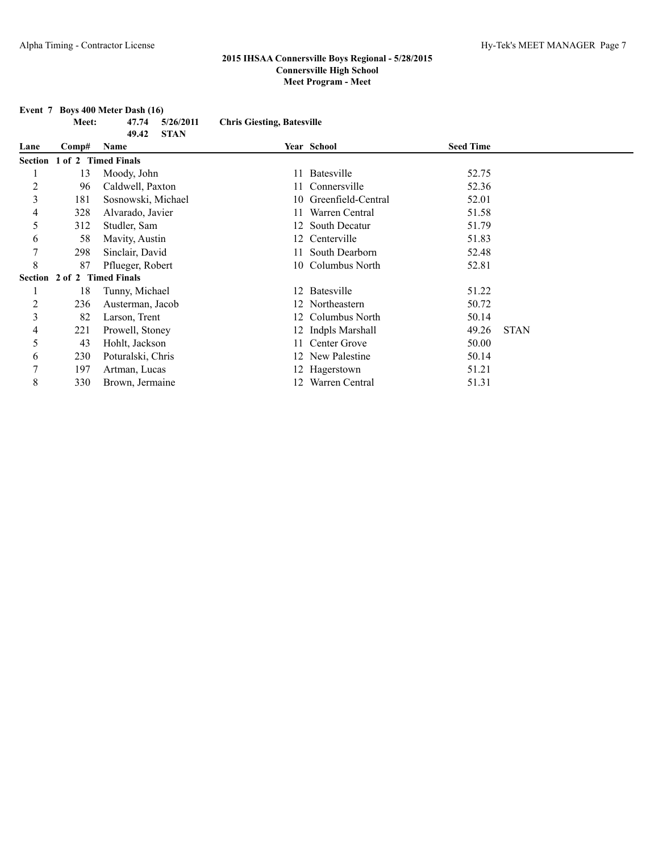|                | Meet:               | 47.74<br>5/26/2011   | <b>Chris Giesting, Batesville</b> |                    |                  |             |
|----------------|---------------------|----------------------|-----------------------------------|--------------------|------------------|-------------|
|                |                     | <b>STAN</b><br>49.42 |                                   |                    |                  |             |
| Lane           | Comp#               | Name                 |                                   | Year School        | <b>Seed Time</b> |             |
| <b>Section</b> | 1 of 2 Timed Finals |                      |                                   |                    |                  |             |
|                | 13                  | Moody, John          |                                   | 11 Batesville      | 52.75            |             |
| $\overline{c}$ | 96                  | Caldwell, Paxton     |                                   | Connersville       | 52.36            |             |
| 3              | 181                 | Sosnowski, Michael   | 10                                | Greenfield-Central | 52.01            |             |
| 4              | 328                 | Alvarado, Javier     | 11                                | Warren Central     | 51.58            |             |
| 5              | 312                 | Studler, Sam         |                                   | 12 South Decatur   | 51.79            |             |
| 6              | 58                  | Mavity, Austin       |                                   | 12 Centerville     | 51.83            |             |
| 7              | 298                 | Sinclair, David      |                                   | South Dearborn     | 52.48            |             |
| 8              | 87                  | Pflueger, Robert     | 10                                | Columbus North     | 52.81            |             |
| Section        | 2 of 2 Timed Finals |                      |                                   |                    |                  |             |
|                | 18                  | Tunny, Michael       |                                   | 12 Batesville      | 51.22            |             |
| 2              | 236                 | Austerman, Jacob     |                                   | 12 Northeastern    | 50.72            |             |
| 3              | 82                  | Larson, Trent        |                                   | 12 Columbus North  | 50.14            |             |
| 4              | 221                 | Prowell, Stoney      | 12                                | Indpls Marshall    | 49.26            | <b>STAN</b> |
| 5              | 43                  | Hohlt, Jackson       | 11                                | Center Grove       | 50.00            |             |
| 6              | 230                 | Poturalski, Chris    |                                   | 12 New Palestine   | 50.14            |             |
| 7              | 197                 | Artman, Lucas        |                                   | 12 Hagerstown      | 51.21            |             |
| 8              | 330                 | Brown, Jermaine      | 12                                | Warren Central     | 51.31            |             |

# **Event 7 Boys 400 Meter Dash (16)**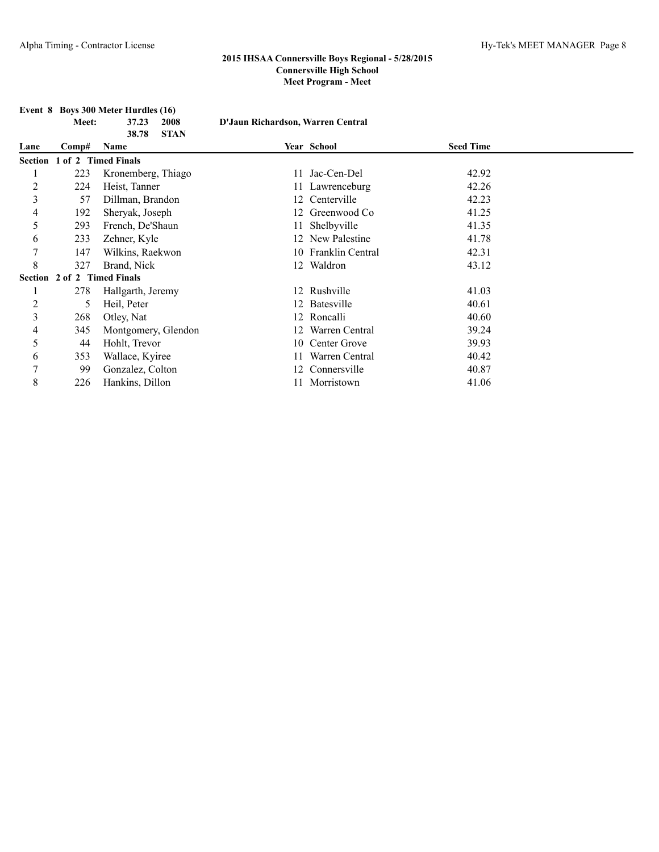|                |                             | Event 8 Boys 300 Meter Hurdles (16) |                                   |                     |                  |  |
|----------------|-----------------------------|-------------------------------------|-----------------------------------|---------------------|------------------|--|
|                | Meet:                       | 37.23<br>2008                       | D'Jaun Richardson, Warren Central |                     |                  |  |
|                |                             | <b>STAN</b><br>38.78                |                                   |                     |                  |  |
| Lane           | Comp#                       | Name                                |                                   | Year School         | <b>Seed Time</b> |  |
| Section        | 1 of 2 Timed Finals         |                                     |                                   |                     |                  |  |
|                | 223                         | Kronemberg, Thiago                  | 11                                | Jac-Cen-Del         | 42.92            |  |
| $\overline{c}$ | 224                         | Heist, Tanner                       |                                   | 11 Lawrenceburg     | 42.26            |  |
| 3              | 57                          | Dillman, Brandon                    |                                   | 12 Centerville      | 42.23            |  |
| 4              | 192                         | Sheryak, Joseph                     |                                   | 12 Greenwood Co     | 41.25            |  |
| 5              | 293                         | French, De'Shaun                    |                                   | Shelbyville         | 41.35            |  |
| 6              | 233                         | Zehner, Kyle                        |                                   | 12 New Palestine    | 41.78            |  |
| 7              | 147                         | Wilkins, Raekwon                    |                                   | 10 Franklin Central | 42.31            |  |
| 8              | 327                         | Brand, Nick                         |                                   | 12 Waldron          | 43.12            |  |
|                | Section 2 of 2 Timed Finals |                                     |                                   |                     |                  |  |
|                | 278                         | Hallgarth, Jeremy                   |                                   | 12 Rushville        | 41.03            |  |
| $\overline{c}$ | 5                           | Heil, Peter                         |                                   | 12 Batesville       | 40.61            |  |
| 3              | 268                         | Otley, Nat                          |                                   | 12 Roncalli         | 40.60            |  |
| 4              | 345                         | Montgomery, Glendon                 |                                   | Warren Central      | 39.24            |  |
| 5              | 44                          | Hohlt, Trevor                       | 10                                | Center Grove        | 39.93            |  |
| 6              | 353                         | Wallace, Kyiree                     |                                   | Warren Central      | 40.42            |  |
| 7              | 99                          | Gonzalez, Colton                    | 12                                | Connersville        | 40.87            |  |
| 8              | 226                         | Hankins, Dillon                     |                                   | Morristown          | 41.06            |  |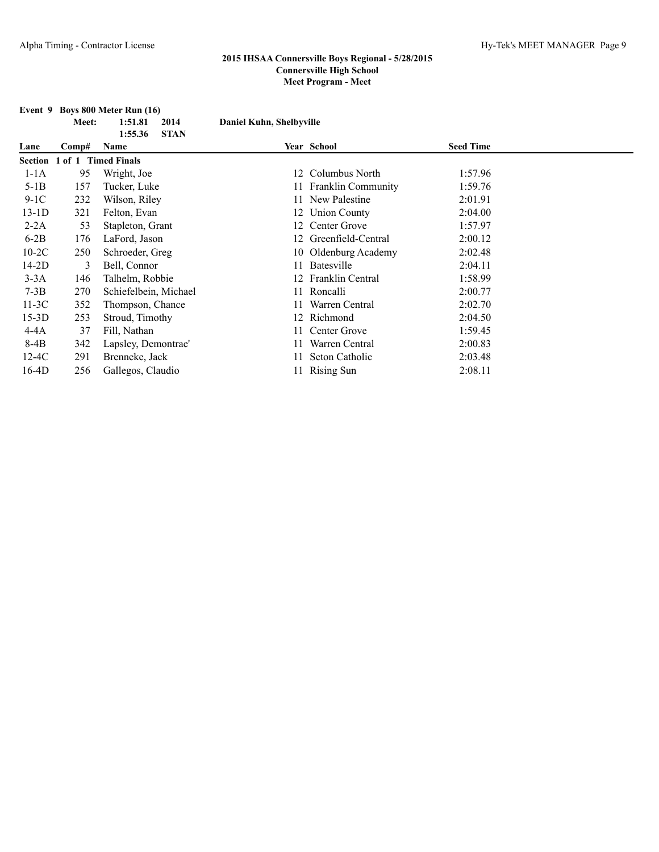|         |       | Event 9 Boys 800 Meter Run (16) |                          |                         |                  |  |
|---------|-------|---------------------------------|--------------------------|-------------------------|------------------|--|
|         | Meet: | 1:51.81<br>2014                 | Daniel Kuhn, Shelbyville |                         |                  |  |
|         |       | <b>STAN</b><br>1:55.36          |                          |                         |                  |  |
| Lane    | Comp# | Name                            |                          | Year School             | <b>Seed Time</b> |  |
|         |       | Section 1 of 1 Timed Finals     |                          |                         |                  |  |
| $1-1A$  | 95    | Wright, Joe                     |                          | 12 Columbus North       | 1:57.96          |  |
| $5-1B$  | 157   | Tucker, Luke                    |                          | 11 Franklin Community   | 1:59.76          |  |
| $9-1C$  | 232   | Wilson, Riley                   |                          | New Palestine           | 2:01.91          |  |
| $13-1D$ | 321   | Felton, Evan                    |                          | 12 Union County         | 2:04.00          |  |
| $2-2A$  | 53    | Stapleton, Grant                |                          | 12 Center Grove         | 1:57.97          |  |
| $6-2B$  | 176   | LaFord, Jason                   |                          | 12 Greenfield-Central   | 2:00.12          |  |
| $10-2C$ | 250   | Schroeder, Greg                 |                          | 10 Oldenburg Academy    | 2:02.48          |  |
| $14-2D$ | 3     | Bell, Connor                    | 11                       | Batesville              | 2:04.11          |  |
| $3-3A$  | 146   | Talhelm, Robbie                 |                          | <b>Franklin Central</b> | 1:58.99          |  |
| $7-3B$  | 270   | Schiefelbein, Michael           |                          | 11 Roncalli             | 2:00.77          |  |
| $11-3C$ | 352   | Thompson, Chance                |                          | Warren Central          | 2:02.70          |  |
| $15-3D$ | 253   | Stroud, Timothy                 |                          | 12 Richmond             | 2:04.50          |  |
| $4-4A$  | 37    | Fill, Nathan                    |                          | Center Grove            | 1:59.45          |  |
| 8-4B    | 342   | Lapsley, Demontrae'             |                          | Warren Central          | 2:00.83          |  |
| $12-4C$ | 291   | Brenneke, Jack                  | 11                       | Seton Catholic          | 2:03.48          |  |
| $16-4D$ | 256   | Gallegos, Claudio               |                          | 11 Rising Sun           | 2:08.11          |  |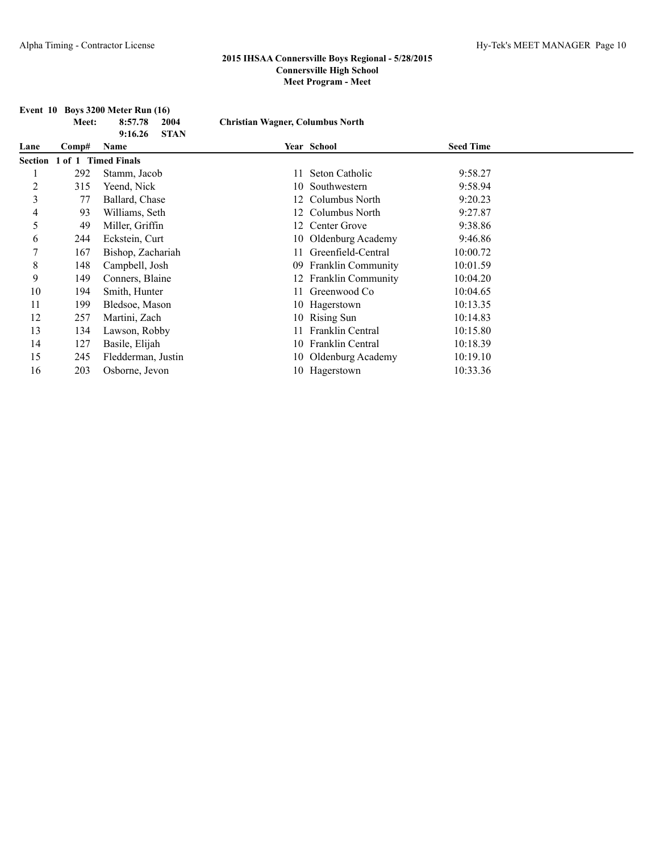|                | Meet:  | Event 10 Boys 3200 Meter Run (16)<br>8:57.78<br>2004<br><b>STAN</b><br>9:16.26 | <b>Christian Wagner, Columbus North</b> |                           |                  |  |
|----------------|--------|--------------------------------------------------------------------------------|-----------------------------------------|---------------------------|------------------|--|
| Lane           | Comp#  | Name                                                                           |                                         | Year School               | <b>Seed Time</b> |  |
| Section        | 1 of 1 | <b>Timed Finals</b>                                                            |                                         |                           |                  |  |
|                | 292    | Stamm, Jacob                                                                   |                                         | Seton Catholic            | 9:58.27          |  |
| $\overline{c}$ | 315    | Yeend, Nick                                                                    | 10                                      | Southwestern              | 9:58.94          |  |
| 3              | 77     | Ballard, Chase                                                                 |                                         | Columbus North            | 9:20.23          |  |
| 4              | 93     | Williams, Seth                                                                 |                                         | Columbus North            | 9:27.87          |  |
| 5              | 49     | Miller, Griffin                                                                |                                         | 12 Center Grove           | 9:38.86          |  |
| 6              | 244    | Eckstein, Curt                                                                 |                                         | 10 Oldenburg Academy      | 9:46.86          |  |
| 7              | 167    | Bishop, Zachariah                                                              |                                         | Greenfield-Central        | 10:00.72         |  |
| 8              | 148    | Campbell, Josh                                                                 | 09                                      | <b>Franklin Community</b> | 10:01.59         |  |
| 9              | 149    | Conners, Blaine                                                                |                                         | 12 Franklin Community     | 10:04.20         |  |
| 10             | 194    | Smith, Hunter                                                                  |                                         | 11 Greenwood Co           | 10:04.65         |  |
| 11             | 199    | Bledsoe, Mason                                                                 |                                         | 10 Hagerstown             | 10:13.35         |  |
| 12             | 257    | Martini, Zach                                                                  |                                         | 10 Rising Sun             | 10:14.83         |  |
| 13             | 134    | Lawson, Robby                                                                  |                                         | <b>Franklin Central</b>   | 10:15.80         |  |
| 14             | 127    | Basile, Elijah                                                                 |                                         | 10 Franklin Central       | 10:18.39         |  |
| 15             | 245    | Fledderman, Justin                                                             |                                         | 10 Oldenburg Academy      | 10:19.10         |  |
| 16             | 203    | Osborne, Jevon                                                                 |                                         | 10 Hagerstown             | 10:33.36         |  |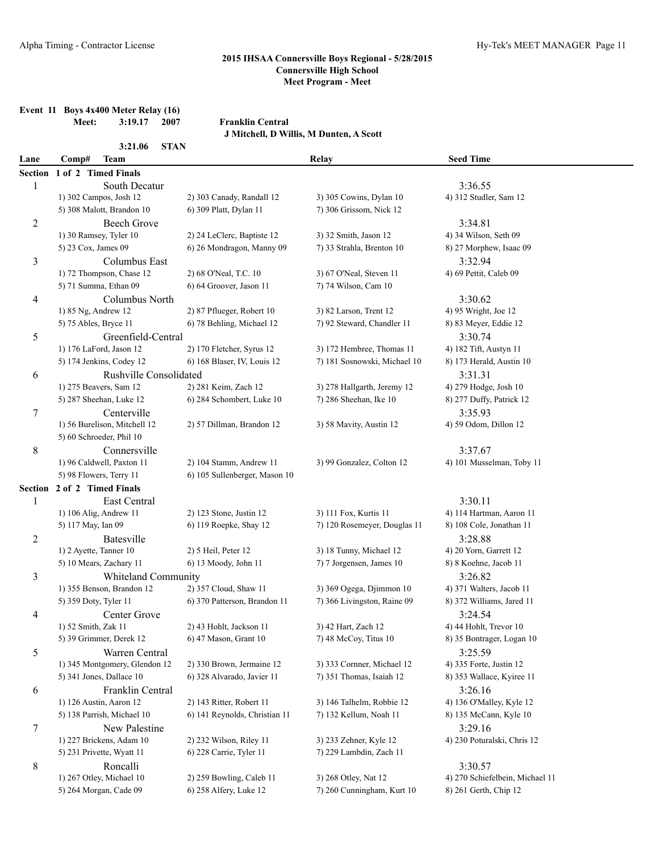| Event 11 Boys 4x400 Meter Relay (16) |                |  |
|--------------------------------------|----------------|--|
| <b>Meet:</b>                         | $3:19.17$ 2007 |  |

**Meet: 3:19.17 2007 Franklin Central**

**J Mitchell, D Willis, M Dunten, A Scott**

|                | 3:21.06<br><b>STAN</b>        |                               |                              |                                 |
|----------------|-------------------------------|-------------------------------|------------------------------|---------------------------------|
| Lane           | Comp#<br><b>Team</b>          |                               | Relay                        | <b>Seed Time</b>                |
| <b>Section</b> | 1 of 2 Timed Finals           |                               |                              |                                 |
| 1              | South Decatur                 |                               |                              | 3:36.55                         |
|                | 1) 302 Campos, Josh 12        | 2) 303 Canady, Randall 12     | 3) 305 Cowins, Dylan 10      | 4) 312 Studler, Sam 12          |
|                | 5) 308 Malott, Brandon 10     | 6) 309 Platt, Dylan 11        | 7) 306 Grissom, Nick 12      |                                 |
| $\overline{c}$ | Beech Grove                   |                               |                              | 3:34.81                         |
|                | 1) 30 Ramsey, Tyler 10        | 2) 24 LeClerc, Baptiste 12    | 3) 32 Smith, Jason 12        | 4) 34 Wilson, Seth 09           |
|                | 5) 23 Cox, James 09           | 6) 26 Mondragon, Manny 09     | 7) 33 Strahla, Brenton 10    | 8) 27 Morphew, Isaac 09         |
| $\mathfrak{Z}$ | Columbus East                 |                               |                              | 3:32.94                         |
|                | 1) 72 Thompson, Chase 12      | 2) 68 O'Neal, T.C. 10         | 3) 67 O'Neal, Steven 11      | 4) 69 Pettit, Caleb 09          |
|                | 5) 71 Summa, Ethan 09         | 6) 64 Groover, Jason 11       | 7) 74 Wilson, Cam 10         |                                 |
| 4              | Columbus North                |                               |                              | 3:30.62                         |
|                | 1) 85 Ng, Andrew 12           | 2) 87 Pflueger, Robert 10     | 3) 82 Larson, Trent 12       | 4) 95 Wright, Joe 12            |
|                | 5) 75 Ables, Bryce 11         | 6) 78 Behling, Michael 12     | 7) 92 Steward, Chandler 11   | 8) 83 Meyer, Eddie 12           |
| 5              | Greenfield-Central            |                               |                              | 3:30.74                         |
|                | 1) 176 LaFord, Jason 12       | 2) 170 Fletcher, Syrus 12     | 3) 172 Hembree, Thomas 11    | 4) 182 Tift, Austyn 11          |
|                | 5) 174 Jenkins, Codey 12      | 6) 168 Blaser, IV, Louis 12   | 7) 181 Sosnowski, Michael 10 | 8) 173 Herald, Austin 10        |
| 6              | <b>Rushville Consolidated</b> |                               |                              | 3:31.31                         |
|                | 1) 275 Beavers, Sam 12        | 2) 281 Keim, Zach 12          | 3) 278 Hallgarth, Jeremy 12  | 4) 279 Hodge, Josh 10           |
|                | 5) 287 Sheehan, Luke 12       | 6) 284 Schombert, Luke 10     | 7) 286 Sheehan, Ike 10       | 8) 277 Duffy, Patrick 12        |
| 7              | Centerville                   |                               |                              | 3:35.93                         |
|                | 1) 56 Burelison, Mitchell 12  | 2) 57 Dillman, Brandon 12     | 3) 58 Mavity, Austin 12      | 4) 59 Odom, Dillon 12           |
|                | 5) 60 Schroeder, Phil 10      |                               |                              |                                 |
| $\,$ 8 $\,$    | Connersville                  |                               |                              | 3:37.67                         |
|                | 1) 96 Caldwell, Paxton 11     | 2) 104 Stamm, Andrew 11       | 3) 99 Gonzalez, Colton 12    | 4) 101 Musselman, Toby 11       |
|                | 5) 98 Flowers, Terry 11       | 6) 105 Sullenberger, Mason 10 |                              |                                 |
|                | Section 2 of 2 Timed Finals   |                               |                              |                                 |
| 1              | East Central                  |                               |                              | 3:30.11                         |
|                | 1) 106 Alig, Andrew 11        | 2) 123 Stone, Justin 12       | 3) 111 Fox, Kurtis 11        | 4) 114 Hartman, Aaron 11        |
|                | 5) 117 May, Ian 09            | 6) 119 Roepke, Shay 12        | 7) 120 Rosemeyer, Douglas 11 | 8) 108 Cole, Jonathan 11        |
| $\overline{c}$ | <b>Batesville</b>             |                               |                              | 3:28.88                         |
|                | 1) 2 Ayette, Tanner 10        | 2) 5 Heil, Peter 12           | 3) 18 Tunny, Michael 12      | 4) 20 Yorn, Garrett 12          |
|                | 5) 10 Mears, Zachary 11       | 6) 13 Moody, John 11          | 7) 7 Jorgensen, James 10     | 8) 8 Koehne, Jacob 11           |
| 3              | Whiteland Community           |                               |                              | 3:26.82                         |
|                | 1) 355 Benson, Brandon 12     | 2) 357 Cloud, Shaw 11         | 3) 369 Ogega, Djimmon 10     | 4) 371 Walters, Jacob 11        |
|                | 5) 359 Doty, Tyler 11         | 6) 370 Patterson, Brandon 11  | 7) 366 Livingston, Raine 09  | 8) 372 Williams, Jared 11       |
| 4              | Center Grove                  |                               |                              | 3:24.54                         |
|                | 1) 52 Smith, Zak 11           | 2) 43 Hohlt, Jackson 11       | 3) 42 Hart, Zach 12          | 4) 44 Hohlt, Trevor 10          |
|                | 5) 39 Grimmer, Derek 12       | 6) 47 Mason, Grant 10         | 7) 48 McCoy, Titus 10        | 8) 35 Bontrager, Logan 10       |
| 5              | Warren Central                |                               |                              | 3:25.59                         |
|                | 1) 345 Montgomery, Glendon 12 | 2) 330 Brown, Jermaine 12     | 3) 333 Cornner, Michael 12   | 4) 335 Forte, Justin 12         |
|                | 5) 341 Jones, Dallace 10      | 6) 328 Alvarado, Javier 11    | 7) 351 Thomas, Isaiah 12     | 8) 353 Wallace, Kyiree 11       |
| 6              | Franklin Central              |                               |                              | 3:26.16                         |
|                | 1) 126 Austin, Aaron 12       | 2) 143 Ritter, Robert 11      | 3) 146 Talhelm, Robbie 12    | 4) 136 O'Malley, Kyle 12        |
|                | 5) 138 Parrish, Michael 10    | 6) 141 Reynolds, Christian 11 | 7) 132 Kellum, Noah 11       | 8) 135 McCann, Kyle 10          |
| $\tau$         | New Palestine                 |                               |                              | 3:29.16                         |
|                | 1) 227 Brickens, Adam 10      | 2) 232 Wilson, Riley 11       | 3) 233 Zehner, Kyle 12       | 4) 230 Poturalski, Chris 12     |
|                | 5) 231 Privette, Wyatt 11     | 6) 228 Carrie, Tyler 11       | 7) 229 Lambdin, Zach 11      |                                 |
| 8              | Roncalli                      |                               |                              | 3:30.57                         |
|                | 1) 267 Otley, Michael 10      | 2) 259 Bowling, Caleb 11      | 3) 268 Otley, Nat 12         | 4) 270 Schiefelbein, Michael 11 |
|                | 5) 264 Morgan, Cade 09        | 6) 258 Alfery, Luke 12        | 7) 260 Cunningham, Kurt 10   | 8) 261 Gerth, Chip 12           |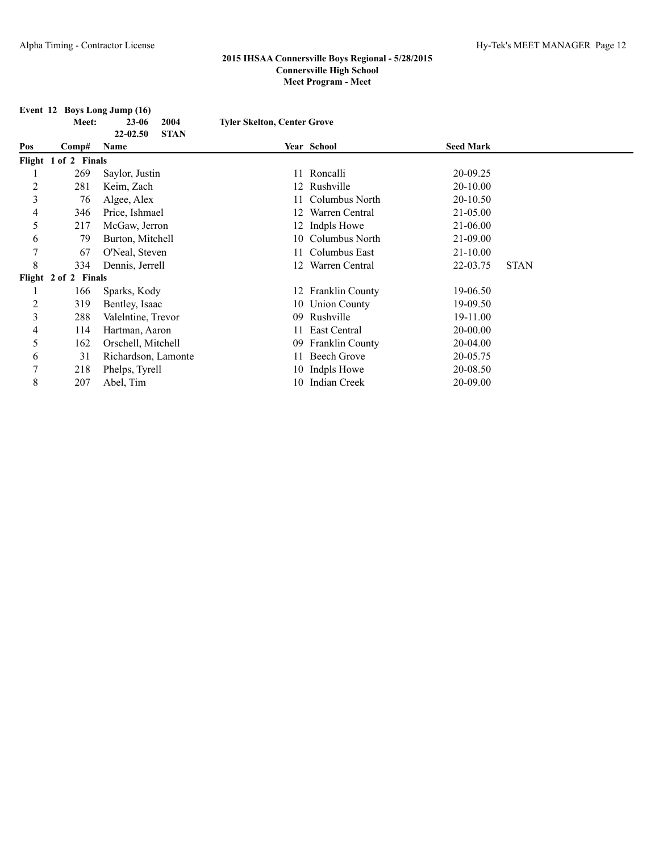| Event 12 Boys Long Jump (16) |                      |                         |                                    |                        |                  |             |
|------------------------------|----------------------|-------------------------|------------------------------------|------------------------|------------------|-------------|
|                              | Meet:                | $23 - 06$<br>2004       | <b>Tyler Skelton, Center Grove</b> |                        |                  |             |
|                              |                      | 22-02.50<br><b>STAN</b> |                                    |                        |                  |             |
| Pos                          | Comp#                | Name                    |                                    | Year School            | <b>Seed Mark</b> |             |
|                              | Flight 1 of 2 Finals |                         |                                    |                        |                  |             |
|                              | 269                  | Saylor, Justin          |                                    | 11 Roncalli            | 20-09.25         |             |
| $\overline{2}$               | 281                  | Keim, Zach              |                                    | 12 Rushville           | 20-10.00         |             |
| 3                            | 76                   | Algee, Alex             |                                    | Columbus North         | 20-10.50         |             |
| 4                            | 346                  | Price, Ishmael          |                                    | Warren Central         | 21-05.00         |             |
| 5                            | 217                  | McGaw, Jerron           |                                    | 12 Indpls Howe         | 21-06.00         |             |
| 6                            | 79                   | Burton, Mitchell        |                                    | 10 Columbus North      | 21-09.00         |             |
| 7                            | 67                   | O'Neal, Steven          |                                    | Columbus East          | $21-10.00$       |             |
| 8                            | 334                  | Dennis, Jerrell         | 12                                 | Warren Central         | 22-03.75         | <b>STAN</b> |
|                              | Flight 2 of 2 Finals |                         |                                    |                        |                  |             |
|                              | 166                  | Sparks, Kody            |                                    | 12 Franklin County     | 19-06.50         |             |
| 2                            | 319                  | Bentley, Isaac          |                                    | 10 Union County        | 19-09.50         |             |
| 3                            | 288                  | Valelntine, Trevor      | 09                                 | Rushville              | 19-11.00         |             |
| 4                            | 114                  | Hartman, Aaron          |                                    | 11 East Central        | 20-00.00         |             |
| 5                            | 162                  | Orschell, Mitchell      | 09                                 | <b>Franklin County</b> | 20-04.00         |             |
| 6                            | 31                   | Richardson, Lamonte     |                                    | Beech Grove            | 20-05.75         |             |
| 7                            | 218                  | Phelps, Tyrell          |                                    | 10 Indpls Howe         | 20-08.50         |             |
| 8                            | 207                  | Abel, Tim               |                                    | 10 Indian Creek        | 20-09.00         |             |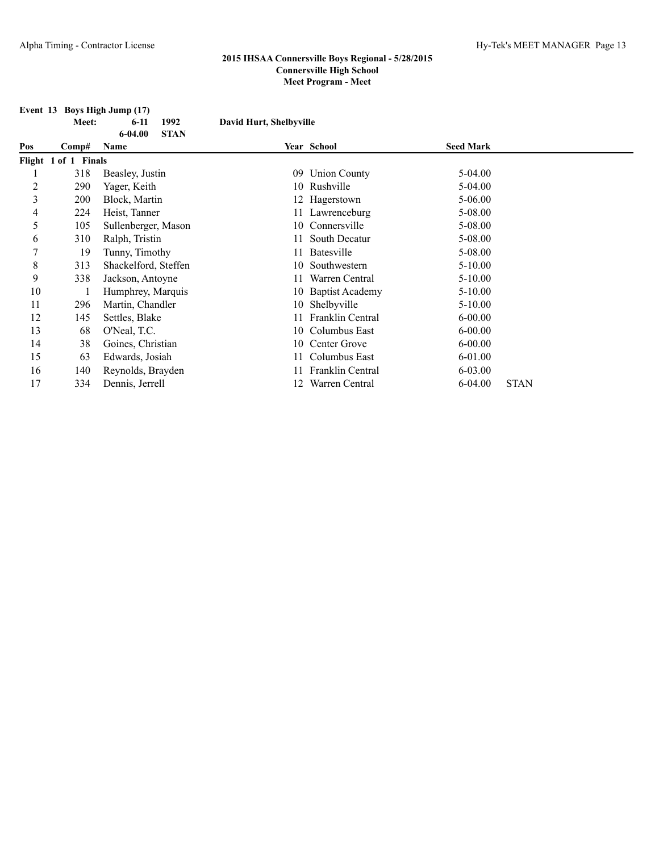| Event 13 Boys High Jump (17) |                      |                            |                         |                         |                  |             |
|------------------------------|----------------------|----------------------------|-------------------------|-------------------------|------------------|-------------|
|                              | Meet:                | 1992<br>$6 - 11$           | David Hurt, Shelbyville |                         |                  |             |
|                              |                      | $6 - 04.00$<br><b>STAN</b> |                         |                         |                  |             |
| Pos                          | Comp#                | Name                       |                         | Year School             | <b>Seed Mark</b> |             |
|                              | Flight 1 of 1 Finals |                            |                         |                         |                  |             |
|                              | 318                  | Beasley, Justin            | 09                      | <b>Union County</b>     | 5-04.00          |             |
| 2                            | 290                  | Yager, Keith               |                         | 10 Rushville            | $5-04.00$        |             |
| 3                            | 200                  | Block, Martin              |                         | 12 Hagerstown           | $5 - 06.00$      |             |
| 4                            | 224                  | Heist, Tanner              |                         | 11 Lawrenceburg         | 5-08.00          |             |
| 5                            | 105                  | Sullenberger, Mason        |                         | 10 Connersville         | 5-08.00          |             |
| 6                            | 310                  | Ralph, Tristin             | 11                      | South Decatur           | 5-08.00          |             |
| 7                            | 19                   | Tunny, Timothy             | 11                      | <b>Batesville</b>       | 5-08.00          |             |
| 8                            | 313                  | Shackelford, Steffen       | 10                      | Southwestern            | $5 - 10.00$      |             |
| 9                            | 338                  | Jackson, Antoyne           | 11.                     | Warren Central          | $5-10.00$        |             |
| 10                           |                      | Humphrey, Marquis          |                         | 10 Baptist Academy      | $5 - 10.00$      |             |
| 11                           | 296                  | Martin, Chandler           |                         | 10 Shelbyville          | $5 - 10.00$      |             |
| 12                           | 145                  | Settles, Blake             | 11                      | <b>Franklin Central</b> | $6 - 00.00$      |             |
| 13                           | 68                   | O'Neal, T.C.               |                         | 10 Columbus East        | $6 - 00.00$      |             |
| 14                           | 38                   | Goines, Christian          |                         | 10 Center Grove         | $6 - 00.00$      |             |
| 15                           | 63                   | Edwards, Josiah            | 11-                     | Columbus East           | 6-01.00          |             |
| 16                           | 140                  | Reynolds, Brayden          |                         | <b>Franklin Central</b> | 6-03.00          |             |
| 17                           | 334                  | Dennis, Jerrell            | 12                      | Warren Central          | $6 - 04.00$      | <b>STAN</b> |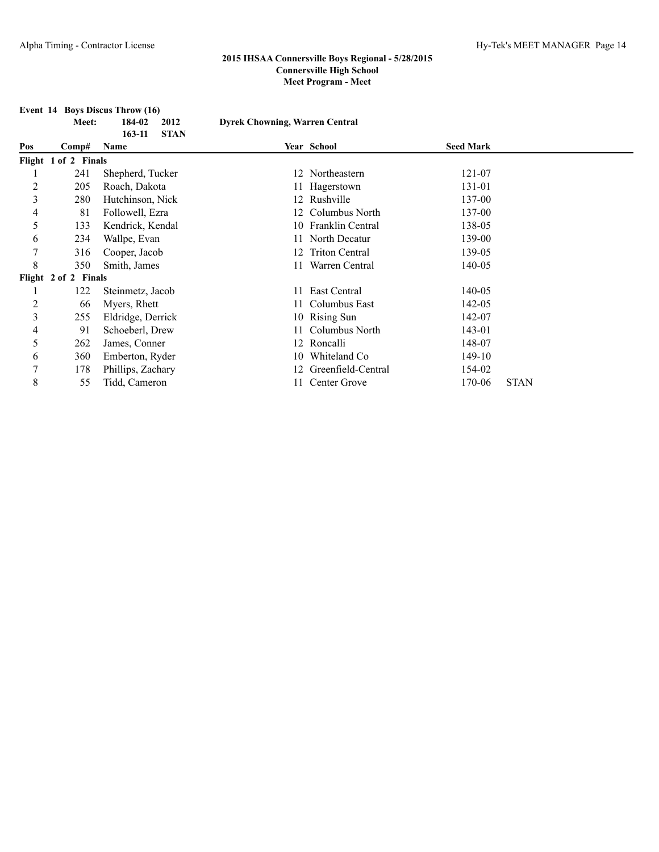| Event 14 Boys Discus Throw (16)                                  |                      |                                   |     |                       |                  |             |  |  |  |
|------------------------------------------------------------------|----------------------|-----------------------------------|-----|-----------------------|------------------|-------------|--|--|--|
| 184-02<br><b>Dyrek Chowning, Warren Central</b><br>2012<br>Meet: |                      |                                   |     |                       |                  |             |  |  |  |
| Pos                                                              | Comp#                | <b>STAN</b><br>$163 - 11$<br>Name |     | Year School           | <b>Seed Mark</b> |             |  |  |  |
|                                                                  | Flight 1 of 2 Finals |                                   |     |                       |                  |             |  |  |  |
|                                                                  | 241                  | Shepherd, Tucker                  |     | 12 Northeastern       | 121-07           |             |  |  |  |
| $\overline{2}$                                                   | 205                  | Roach, Dakota                     |     | 11 Hagerstown         | 131-01           |             |  |  |  |
| 3                                                                | 280                  | Hutchinson, Nick                  |     | 12 Rushville          | 137-00           |             |  |  |  |
| 4                                                                | 81                   | Followell, Ezra                   | 12  | Columbus North        | 137-00           |             |  |  |  |
| 5                                                                | 133                  | Kendrick, Kendal                  |     | 10 Franklin Central   | 138-05           |             |  |  |  |
| 6                                                                | 234                  | Wallpe, Evan                      | 11. | North Decatur         | 139-00           |             |  |  |  |
| 7                                                                | 316                  | Cooper, Jacob                     | 12  | <b>Triton Central</b> | 139-05           |             |  |  |  |
| 8                                                                | 350                  | Smith, James                      | 11  | Warren Central        | 140-05           |             |  |  |  |
|                                                                  | Flight 2 of 2 Finals |                                   |     |                       |                  |             |  |  |  |
|                                                                  | 122                  | Steinmetz, Jacob                  | 11  | East Central          | 140-05           |             |  |  |  |
| $\overline{2}$                                                   | 66                   | Myers, Rhett                      | 11  | Columbus East         | 142-05           |             |  |  |  |
| 3                                                                | 255                  | Eldridge, Derrick                 |     | 10 Rising Sun         | 142-07           |             |  |  |  |
| 4                                                                | 91                   | Schoeberl, Drew                   |     | Columbus North        | 143-01           |             |  |  |  |
| 5                                                                | 262                  | James, Conner                     |     | 12 Roncalli           | 148-07           |             |  |  |  |
| 6                                                                | 360                  | Emberton, Ryder                   | 10. | Whiteland Co          | 149-10           |             |  |  |  |
| 7                                                                | 178                  | Phillips, Zachary                 | 12  | Greenfield-Central    | 154-02           |             |  |  |  |
| 8                                                                | 55                   | Tidd, Cameron                     |     | Center Grove          | 170-06           | <b>STAN</b> |  |  |  |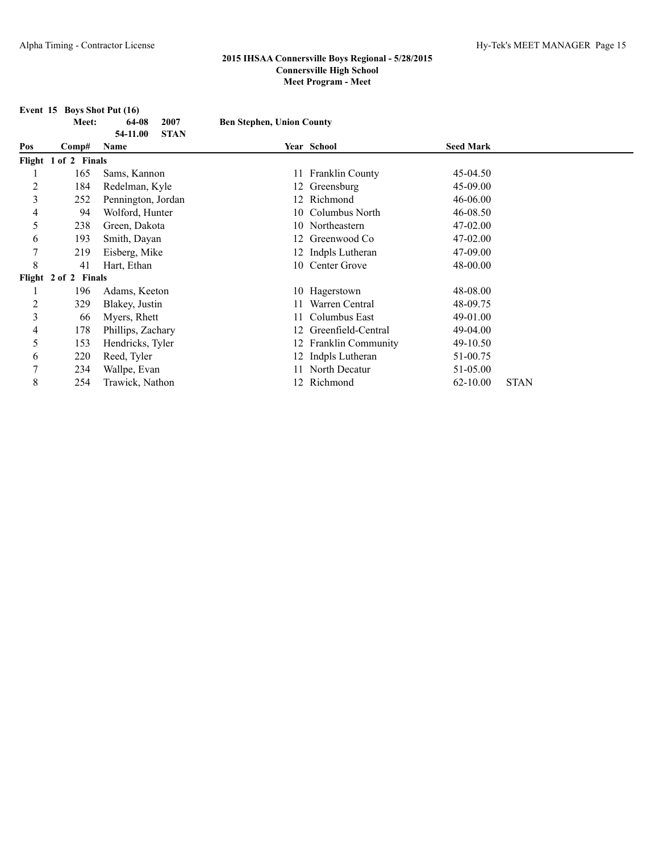**Event 15 Boys Shot Put (16)**<br>Meet: 64-08 2007

|     | Meet:                | 64-08<br>2007                   | <b>Ben Stephen, Union County</b> |                           |                  |             |
|-----|----------------------|---------------------------------|----------------------------------|---------------------------|------------------|-------------|
| Pos | Comp#                | 54-11.00<br><b>STAN</b><br>Name |                                  | Year School               | <b>Seed Mark</b> |             |
|     | Flight 1 of 2 Finals |                                 |                                  |                           |                  |             |
|     | 165                  | Sams, Kannon                    |                                  | 11 Franklin County        | 45-04.50         |             |
| 2   | 184                  | Redelman, Kyle                  |                                  | 12 Greensburg             | 45-09.00         |             |
| 3   | 252                  | Pennington, Jordan              |                                  | 12 Richmond               | 46-06.00         |             |
| 4   | 94                   | Wolford, Hunter                 | 10                               | Columbus North            | 46-08.50         |             |
| 5   | 238                  | Green, Dakota                   |                                  | 10 Northeastern           | 47-02.00         |             |
| 6   | 193                  | Smith, Dayan                    |                                  | 12 Greenwood Co           | 47-02.00         |             |
| 7   | 219                  | Eisberg, Mike                   |                                  | 12 Indpls Lutheran        | 47-09.00         |             |
| 8   | 41                   | Hart, Ethan                     |                                  | 10 Center Grove           | 48-00.00         |             |
|     | Flight 2 of 2 Finals |                                 |                                  |                           |                  |             |
|     | 196                  | Adams, Keeton                   |                                  | 10 Hagerstown             | 48-08.00         |             |
| 2   | 329                  | Blakey, Justin                  | 11                               | Warren Central            | 48-09.75         |             |
| 3   | 66                   | Myers, Rhett                    | 11                               | Columbus East             | 49-01.00         |             |
| 4   | 178                  | Phillips, Zachary               | 12                               | Greenfield-Central        | 49-04.00         |             |
| 5   | 153                  | Hendricks, Tyler                | 12                               | <b>Franklin Community</b> | 49-10.50         |             |
| 6   | 220                  | Reed, Tyler                     | 12                               | Indpls Lutheran           | 51-00.75         |             |
| 7   | 234                  | Wallpe, Evan                    | 11                               | North Decatur             | 51-05.00         |             |
| 8   | 254                  | Trawick, Nathon                 |                                  | 12 Richmond               | $62 - 10.00$     | <b>STAN</b> |